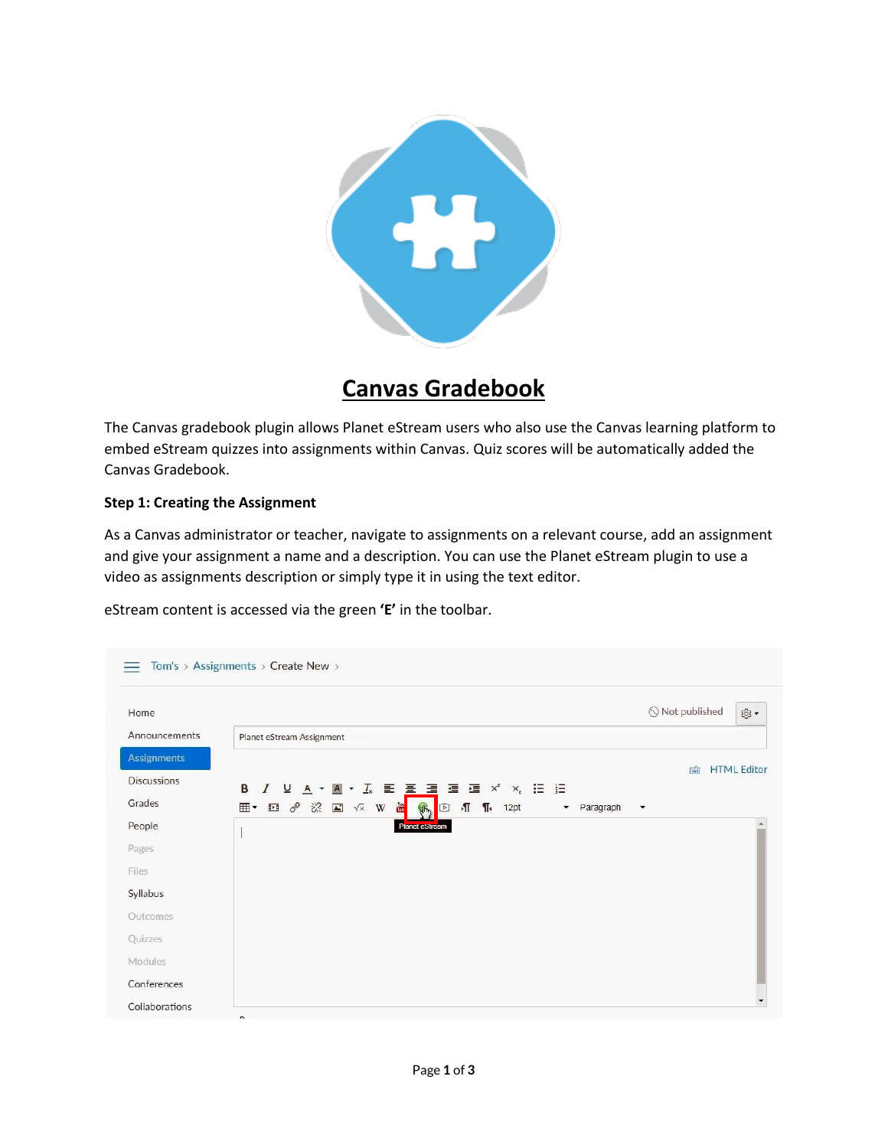

## **Canvas Gradebook**

The Canvas gradebook plugin allows Planet eStream users who also use the Canvas learning platform to embed eStream quizzes into assignments within Canvas. Quiz scores will be automatically added the Canvas Gradebook.

## **Step 1: Creating the Assignment**

As a Canvas administrator or teacher, navigate to assignments on a relevant course, add an assignment and give your assignment a name and a description. You can use the Planet eStream plugin to use a video as assignments description or simply type it in using the text editor.

eStream content is accessed via the green **'E'** in the toolbar.

| Home                                                |                            | $\bigcirc$ Not published                                                                          | 愈•                 |
|-----------------------------------------------------|----------------------------|---------------------------------------------------------------------------------------------------|--------------------|
| Announcements                                       | Planet eStream Assignment  |                                                                                                   |                    |
| <b>Assignments</b>                                  |                            | 面                                                                                                 | <b>HTML Editor</b> |
| <b>Discussions</b>                                  | B                          | $I \cup A \cdot B \cdot L \in \Xi \equiv \Xi \equiv \Xi \times \times \Xi \equiv \Xi$             |                    |
| Grades                                              | <b>田 • 田 タ ※ 国 √ × W 置</b> | $\P$ $\P$ <sub>k</sub> 12pt<br>$\sqrt{2}$<br>Paragraph<br>4h<br>$\bullet$<br>$\blacktriangledown$ |                    |
| People                                              |                            | Planet estream                                                                                    |                    |
| Pages                                               |                            |                                                                                                   |                    |
|                                                     |                            |                                                                                                   |                    |
|                                                     |                            |                                                                                                   |                    |
|                                                     |                            |                                                                                                   |                    |
|                                                     |                            |                                                                                                   |                    |
|                                                     |                            |                                                                                                   |                    |
| Files<br>Syllabus<br>Outcomes<br>Quizzes<br>Modules |                            |                                                                                                   |                    |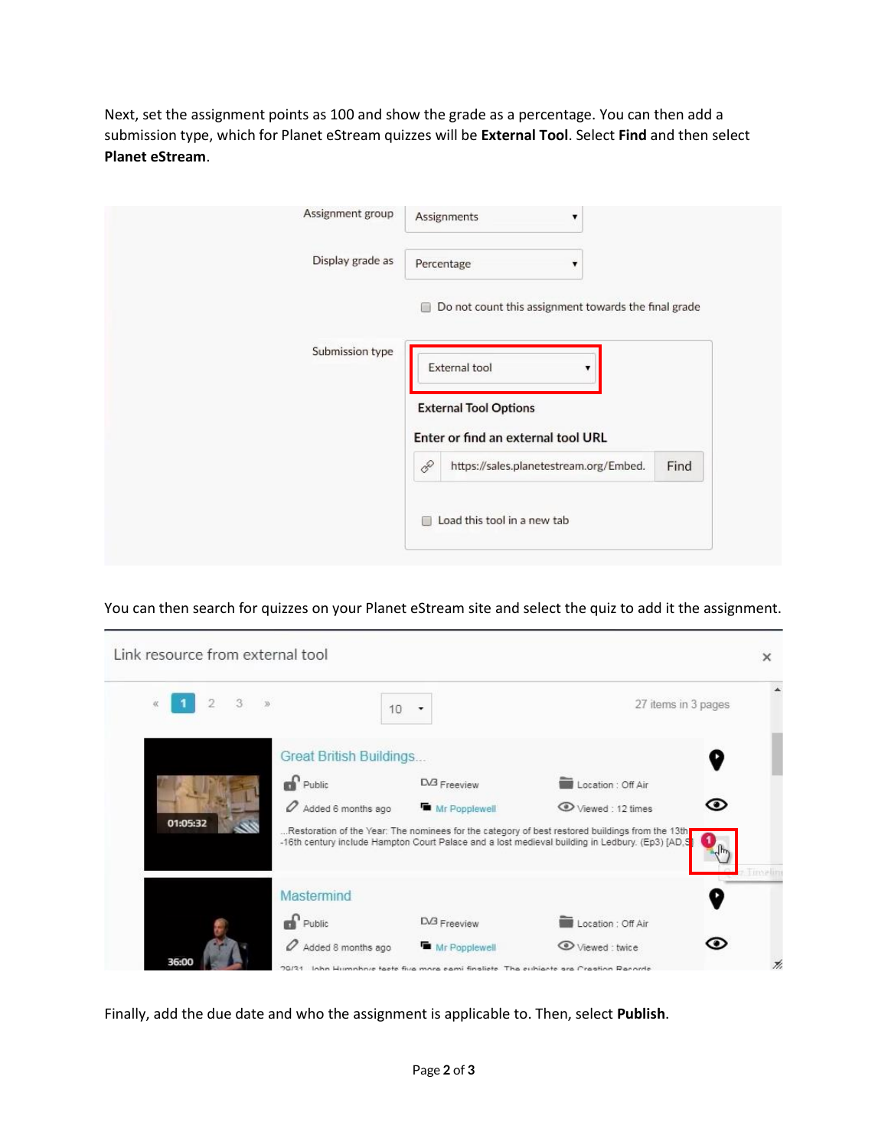Next, set the assignment points as 100 and show the grade as a percentage. You can then add a submission type, which for Planet eStream quizzes will be **External Tool**. Select **Find** and then select **Planet eStream**.

| Assignment group | Assignments<br>$\blacktriangledown$                       |
|------------------|-----------------------------------------------------------|
| Display grade as | Percentage<br>▼                                           |
|                  | Do not count this assignment towards the final grade<br>œ |
| Submission type  | External tool                                             |
|                  | <b>External Tool Options</b>                              |
|                  | Enter or find an external tool URL                        |
|                  | 8<br>Find<br>https://sales.planetestream.org/Embed.       |
|                  | Load this tool in a new tab<br>┌                          |

You can then search for quizzes on your Planet eStream site and select the quiz to add it the assignment.



Finally, add the due date and who the assignment is applicable to. Then, select **Publish**.